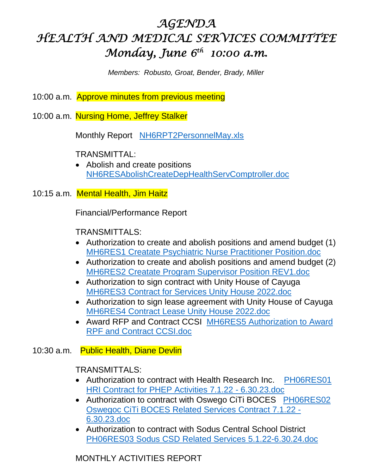# *AGENDA HEALTH AND MEDICAL SERVICES COMMITTEE Monday, June 6th 10:00 a.m.*

*Members: Robusto, Groat, Bender, Brady, Miller* 

- 10:00 a.m. Approve minutes from previous meeting
- 10:00 a.m. Nursing Home, Jeffrey Stalker

Monthly Report NH6RPT2PersonnelMay.xls

TRANSMITTAL:

• Abolish and create positions NH6RESAbolishCreateDepHealthServComptroller.doc

10:15 a.m. Mental Health, Jim Haitz

Financial/Performance Report

TRANSMITTALS:

- Authorization to create and abolish positions and amend budget (1) MH6RES1 Creatate Psychiatric Nurse Practitioner Position.doc
- Authorization to create and abolish positions and amend budget (2) MH6RES2 Creatate Program Supervisor Position REV1.doc
- Authorization to sign contract with Unity House of Cayuga MH6RES3 Contract for Services Unity House 2022.doc
- Authorization to sign lease agreement with Unity House of Cayuga MH6RES4 Contract Lease Unity House 2022.doc
- Award RFP and Contract CCSI MH6RES5 Authorization to Award RPF and Contract CCSI.doc

## 10:30 a.m. Public Health, Diane Devlin

TRANSMITTALS:

- Authorization to contract with Health Research Inc. PH06RES01 HRI Contract for PHEP Activities 7.1.22 - 6.30.23.doc
- Authorization to contract with Oswego CiTi BOCES PH06RES02 Oswegoc CiTi BOCES Related Services Contract 7.1.22 - 6.30.23.doc
- Authorization to contract with Sodus Central School District PH06RES03 Sodus CSD Related Services 5.1.22-6.30.24.doc

MONTHLY ACTIVITIES REPORT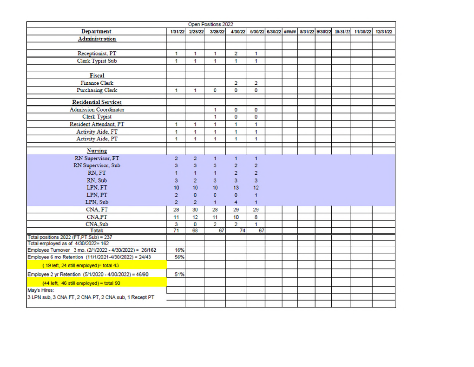|                                                         |                |                | Open Positions 2022 |                |                         |                       |  |  |                                   |          |
|---------------------------------------------------------|----------------|----------------|---------------------|----------------|-------------------------|-----------------------|--|--|-----------------------------------|----------|
| <b>Department</b>                                       | 1/31/22        | 2/28/22        | 3/28/22             | 4/30/22        |                         | 5/30/22 6/30/22 ##### |  |  | 8/31/22 9/30/22 10/31/22 11/30/22 | 12/31/22 |
| <b>Administration</b>                                   |                |                |                     |                |                         |                       |  |  |                                   |          |
|                                                         |                |                |                     |                |                         |                       |  |  |                                   |          |
| Receptionist, PT                                        | 1              | 1              | 1                   | $\overline{c}$ | 1                       |                       |  |  |                                   |          |
| <b>Clerk Typist Sub</b>                                 | 1              | 1              | 1                   | 1              | 1                       |                       |  |  |                                   |          |
|                                                         |                |                |                     |                |                         |                       |  |  |                                   |          |
| Fiscal                                                  |                |                |                     |                |                         |                       |  |  |                                   |          |
| <b>Finance Clerk</b>                                    |                |                |                     | $\overline{c}$ | $\overline{\mathbf{c}}$ |                       |  |  |                                   |          |
| <b>Purchasing Clerk</b>                                 | 1              | 1              | o                   | 0              | O                       |                       |  |  |                                   |          |
|                                                         |                |                |                     |                |                         |                       |  |  |                                   |          |
| <b>Residential Services</b>                             |                |                |                     |                |                         |                       |  |  |                                   |          |
| <b>Admission Coordinator</b>                            |                |                | 1                   | 0              | 0                       |                       |  |  |                                   |          |
| <b>Clerk Typist</b>                                     |                |                | 1                   | 0              | O                       |                       |  |  |                                   |          |
| Resident Attendant, PT                                  | 1              | 1              | 1                   | 1              | 1                       |                       |  |  |                                   |          |
| <b>Activity Aide, FT</b>                                | 1              | 1              | 1                   | 1              | 1                       |                       |  |  |                                   |          |
| Activity Aide, PT                                       | 1              | 1              | 1                   | 1              | 1                       |                       |  |  |                                   |          |
|                                                         |                |                |                     |                |                         |                       |  |  |                                   |          |
| <b>Nursing</b>                                          | $\overline{a}$ |                |                     |                |                         |                       |  |  |                                   |          |
| RN Supervisor, FT                                       |                | $\overline{a}$ | $\mathbf{1}$        | 1              | 1                       |                       |  |  |                                   |          |
| RN Supervisor, Sub                                      | 3              | 3              | 3                   | $\overline{c}$ | $\overline{c}$          |                       |  |  |                                   |          |
| RN, FT                                                  |                | 1              | 1                   | $\overline{2}$ | $\overline{2}$          |                       |  |  |                                   |          |
| RN, Sub                                                 | 3              | $\overline{2}$ | 3                   | 3              | 3                       |                       |  |  |                                   |          |
| LPN, FT                                                 | 10             | 10             | 10                  | 13             | 12                      |                       |  |  |                                   |          |
| LPN, PT                                                 | $\overline{c}$ | $\Omega$       | $\mathbf{0}$        | $\overline{0}$ | 1                       |                       |  |  |                                   |          |
| LPN, Sub                                                | $\overline{a}$ | $\overline{2}$ | $\mathbf{1}$        | 4              | $\mathbf{1}$            |                       |  |  |                                   |          |
| CNA, FT                                                 | 28             | 30             | 28                  | 29             | 29                      |                       |  |  |                                   |          |
| CNA,PT                                                  | 11             | 12             | 11                  | 10             | 8                       |                       |  |  |                                   |          |
| CNA.Sub                                                 | 3              | o              | $\overline{2}$      | $\overline{2}$ | 1                       |                       |  |  |                                   |          |
| Total:                                                  | 71             | 68             | 67                  | 74             | 67                      |                       |  |  |                                   |          |
| Total positions 2022 (FT, PT, Sub) = 237                |                |                |                     |                |                         |                       |  |  |                                   |          |
| Total employed as of 4/30/2022= 162                     |                |                |                     |                |                         |                       |  |  |                                   |          |
| Employee Turnover 3 mo. (2/1/2022 - 4/30/2022) = 26/162 | 16%            |                |                     |                |                         |                       |  |  |                                   |          |
| Employee 6 mo Retention (11/1/2021-4/30/2022) = 24/43   | 56%            |                |                     |                |                         |                       |  |  |                                   |          |
| (19 left, 24 still employed)= total 43                  |                |                |                     |                |                         |                       |  |  |                                   |          |
| Employee 2 yr Retention (5/1/2020 - 4/30/2022) = 46/90  | 51%            |                |                     |                |                         |                       |  |  |                                   |          |
| (44 left, 46 still employed) = total 90                 |                |                |                     |                |                         |                       |  |  |                                   |          |
| May's Hires:                                            |                |                |                     |                |                         |                       |  |  |                                   |          |
| 3 LPN sub, 3 CNA FT, 2 CNA PT, 2 CNA sub, 1 Recept PT   |                |                |                     |                |                         |                       |  |  |                                   |          |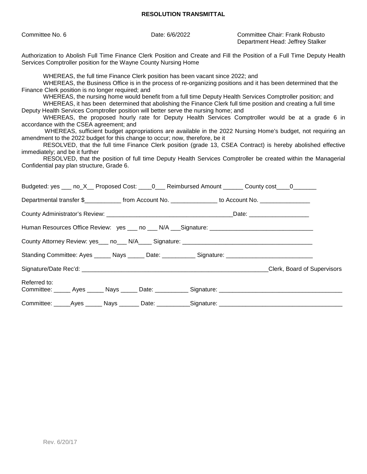### **RESOLUTION TRANSMITTAL**

| Committee No. 6                                                                                                                                                                                                                                                                                                                                                                                                                                                                                                                                                                                                                                                                                                                                                                                                                                                                                                                                                                                                                                                                                                                                                                                                                       | Date: 6/6/2022                                                                                                                                                                             | Committee Chair: Frank Robusto<br>Department Head: Jeffrey Stalker |  |  |  |  |  |  |  |
|---------------------------------------------------------------------------------------------------------------------------------------------------------------------------------------------------------------------------------------------------------------------------------------------------------------------------------------------------------------------------------------------------------------------------------------------------------------------------------------------------------------------------------------------------------------------------------------------------------------------------------------------------------------------------------------------------------------------------------------------------------------------------------------------------------------------------------------------------------------------------------------------------------------------------------------------------------------------------------------------------------------------------------------------------------------------------------------------------------------------------------------------------------------------------------------------------------------------------------------|--------------------------------------------------------------------------------------------------------------------------------------------------------------------------------------------|--------------------------------------------------------------------|--|--|--|--|--|--|--|
|                                                                                                                                                                                                                                                                                                                                                                                                                                                                                                                                                                                                                                                                                                                                                                                                                                                                                                                                                                                                                                                                                                                                                                                                                                       | Authorization to Abolish Full Time Finance Clerk Position and Create and Fill the Position of a Full Time Deputy Health<br>Services Comptroller position for the Wayne County Nursing Home |                                                                    |  |  |  |  |  |  |  |
| WHEREAS, the full time Finance Clerk position has been vacant since 2022; and<br>WHEREAS, the Business Office is in the process of re-organizing positions and it has been determined that the<br>Finance Clerk position is no longer required; and<br>WHEREAS, the nursing home would benefit from a full time Deputy Health Services Comptroller position; and<br>WHEREAS, it has been determined that abolishing the Finance Clerk full time position and creating a full time<br>Deputy Health Services Comptroller position will better serve the nursing home; and<br>WHEREAS, the proposed hourly rate for Deputy Health Services Comptroller would be at a grade 6 in<br>accordance with the CSEA agreement; and<br>WHEREAS, sufficient budget appropriations are available in the 2022 Nursing Home's budget, not requiring an<br>amendment to the 2022 budget for this change to occur; now, therefore, be it<br>RESOLVED, that the full time Finance Clerk position (grade 13, CSEA Contract) is hereby abolished effective<br>immediately; and be it further<br>RESOLVED, that the position of full time Deputy Health Services Comptroller be created within the Managerial<br>Confidential pay plan structure, Grade 6. |                                                                                                                                                                                            |                                                                    |  |  |  |  |  |  |  |
| Budgeted: yes ___ no_X__ Proposed Cost: ____0___ Reimbursed Amount ______ County cost ___0_______                                                                                                                                                                                                                                                                                                                                                                                                                                                                                                                                                                                                                                                                                                                                                                                                                                                                                                                                                                                                                                                                                                                                     |                                                                                                                                                                                            |                                                                    |  |  |  |  |  |  |  |
| Departmental transfer \$______________ from Account No. _______________ to Account No. ______________                                                                                                                                                                                                                                                                                                                                                                                                                                                                                                                                                                                                                                                                                                                                                                                                                                                                                                                                                                                                                                                                                                                                 |                                                                                                                                                                                            |                                                                    |  |  |  |  |  |  |  |
|                                                                                                                                                                                                                                                                                                                                                                                                                                                                                                                                                                                                                                                                                                                                                                                                                                                                                                                                                                                                                                                                                                                                                                                                                                       |                                                                                                                                                                                            |                                                                    |  |  |  |  |  |  |  |
|                                                                                                                                                                                                                                                                                                                                                                                                                                                                                                                                                                                                                                                                                                                                                                                                                                                                                                                                                                                                                                                                                                                                                                                                                                       |                                                                                                                                                                                            |                                                                    |  |  |  |  |  |  |  |
|                                                                                                                                                                                                                                                                                                                                                                                                                                                                                                                                                                                                                                                                                                                                                                                                                                                                                                                                                                                                                                                                                                                                                                                                                                       |                                                                                                                                                                                            |                                                                    |  |  |  |  |  |  |  |
| Standing Committee: Ayes ______ Nays ______ Date: ___________ Signature: __________________________                                                                                                                                                                                                                                                                                                                                                                                                                                                                                                                                                                                                                                                                                                                                                                                                                                                                                                                                                                                                                                                                                                                                   |                                                                                                                                                                                            |                                                                    |  |  |  |  |  |  |  |
|                                                                                                                                                                                                                                                                                                                                                                                                                                                                                                                                                                                                                                                                                                                                                                                                                                                                                                                                                                                                                                                                                                                                                                                                                                       |                                                                                                                                                                                            |                                                                    |  |  |  |  |  |  |  |
| Referred to:                                                                                                                                                                                                                                                                                                                                                                                                                                                                                                                                                                                                                                                                                                                                                                                                                                                                                                                                                                                                                                                                                                                                                                                                                          |                                                                                                                                                                                            |                                                                    |  |  |  |  |  |  |  |
|                                                                                                                                                                                                                                                                                                                                                                                                                                                                                                                                                                                                                                                                                                                                                                                                                                                                                                                                                                                                                                                                                                                                                                                                                                       |                                                                                                                                                                                            |                                                                    |  |  |  |  |  |  |  |
|                                                                                                                                                                                                                                                                                                                                                                                                                                                                                                                                                                                                                                                                                                                                                                                                                                                                                                                                                                                                                                                                                                                                                                                                                                       |                                                                                                                                                                                            |                                                                    |  |  |  |  |  |  |  |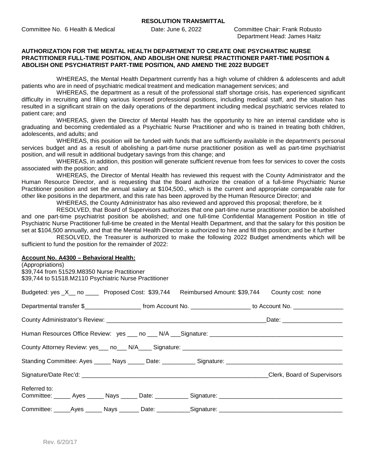Department Head: James Haitz

#### **AUTHORIZATION FOR THE MENTAL HEALTH DEPARTMENT TO CREATE ONE PSYCHIATRIC NURSE PRACTITIONER FULL-TIME POSITION, AND ABOLISH ONE NURSE PRACTITIONER PART-TIME POSITION & ABOLISH ONE PSYCHIATRIST PART-TIME POSITION, AND AMEND THE 2022 BUDGET**

WHEREAS, the Mental Health Department currently has a high volume of children & adolescents and adult patients who are in need of psychiatric medical treatment and medication management services; and

WHEREAS, the department as a result of the professional staff shortage crisis, has experienced significant difficulty in recruiting and filling various licensed professional positions, including medical staff, and the situation has resulted in a significant strain on the daily operations of the department including medical psychiatric services related to patient care; and

WHEREAS, given the Director of Mental Health has the opportunity to hire an internal candidate who is graduating and becoming credentialed as a Psychiatric Nurse Practitioner and who is trained in treating both children, adolescents, and adults; and

WHEREAS, this position will be funded with funds that are sufficiently available in the department's personal services budget and as a result of abolishing a part-time nurse practitioner position as well as part-time psychiatrist position, and will result in additional budgetary savings from this change; and

WHEREAS, in addition, this position will generate sufficient revenue from fees for services to cover the costs associated with the position; and

WHEREAS, the Director of Mental Health has reviewed this request with the County Administrator and the Human Resource Director, and is requesting that the Board authorize the creation of a full-time Psychiatric Nurse Practitioner position and set the annual salary at \$104,500., which is the current and appropriate comparable rate for other like positions in the department, and this rate has been approved by the Human Resource Director; and

WHEREAS, the County Administrator has also reviewed and approved this proposal; therefore, be it

RESOLVED, that Board of Supervisors authorizes that one part-time nurse practitioner position be abolished and one part-time psychiatrist position be abolished; and one full-time Confidential Management Position in title of Psychiatric Nurse Practitioner full-time be created in the Mental Health Department, and that the salary for this position be set at \$104,500 annually, and that the Mental Health Director is authorized to hire and fill this position; and be it further

RESOLVED, the Treasurer is authorized to make the following 2022 Budget amendments which will be sufficient to fund the position for the remainder of 2022:

#### **Account No. A4300 – Behavioral Health:**

(Appropriations) \$39,744 from 51529.M8350 Nurse Practitioner \$39,744 to 51518.M2110 Psychiatric Nurse Practitioner

| Budgeted: yes _X__ no _____ Proposed Cost: \$39,744 Reimbursed Amount: \$39,744 County cost: none                    |  |  |                                                                                                                       |
|----------------------------------------------------------------------------------------------------------------------|--|--|-----------------------------------------------------------------------------------------------------------------------|
|                                                                                                                      |  |  | Departmental transfer \$________________________ from Account No. ____________________ to Account No. _______________ |
|                                                                                                                      |  |  |                                                                                                                       |
|                                                                                                                      |  |  |                                                                                                                       |
|                                                                                                                      |  |  |                                                                                                                       |
| Standing Committee: Ayes ______ Nays ______ Date: ____________ Signature: ___________________________________        |  |  |                                                                                                                       |
|                                                                                                                      |  |  | Clerk, Board of Supervisors                                                                                           |
| Referred to:<br>Committee: _____ Ayes _____ Nays _____ Date: __________ Signature: _________________________________ |  |  |                                                                                                                       |
| Committee: _____Ayes ______ Nays _______ Date: ___________Signature: ______________________________                  |  |  |                                                                                                                       |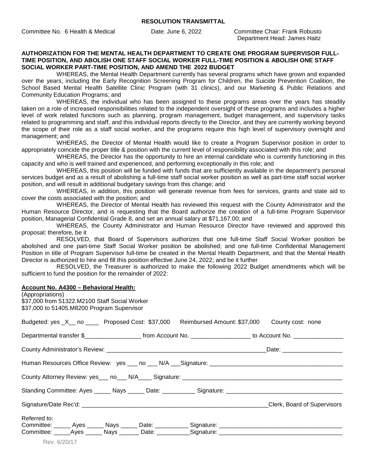Committee No. 6 Health & Medical Date: June 6, 2022 Committee Chair: Frank Robusto

Department Head: James Haitz

#### **AUTHORIZATION FOR THE MENTAL HEALTH DEPARTMENT TO CREATE ONE PROGRAM SUPERVISOR FULL-TIME POSITION, AND ABOLISH ONE STAFF SOCIAL WORKER FULL-TIME POSITION & ABOLISH ONE STAFF SOCIAL WORKER PART-TIME POSITION, AND AMEND THE 2022 BUDGET**

WHEREAS, the Mental Health Department currently has several programs which have grown and expanded over the years, including the Early Recognition Screening Program for Children, the Suicide Prevention Coalition, the School Based Mental Health Satellite Clinic Program (with 31 clinics), and our Marketing & Public Relations and Community Education Programs; and

WHEREAS, the individual who has been assigned to these programs areas over the years has steadily taken on a role of increased responsibilities related to the independent oversight of these programs and includes a higher level of work related functions such as planning, program management, budget management, and supervisory tasks related to programming and staff, and this individual reports directly to the Director, and they are currently working beyond the scope of their role as a staff social worker, and the programs require this high level of supervisory oversight and management; and

WHEREAS, the Director of Mental Health would like to create a Program Supervisor position in order to appropriately coincide the proper title & position with the current level of responsibility associated with this role; and

WHEREAS, the Director has the opportunity to hire an internal candidate who is currently functioning in this capacity and who is well trained and experienced, and performing exceptionally in this role; and

WHEREAS, this position will be funded with funds that are sufficiently available in the department's personal services budget and as a result of abolishing a full-time staff social worker position as well as part-time staff social worker position, and will result in additional budgetary savings from this change; and

WHEREAS, in addition, this position will generate revenue from fees for services, grants and state aid to cover the costs associated with the position; and

WHEREAS, the Director of Mental Health has reviewed this request with the County Administrator and the Human Resource Director, and is requesting that the Board authorize the creation of a full-time Program Supervisor position, Managerial Confidential Grade 8, and set an annual salary at \$71,167.00; and

WHEREAS, the County Administrator and Human Resource Director have reviewed and approved this proposal; therefore, be it

RESOLVED, that Board of Supervisors authorizes that one full-time Staff Social Worker position be abolished and one part-time Staff Social Worker position be abolished; and one full-time Confidential Management Position in title of Program Supervisor full-time be created in the Mental Health Department, and that the Mental Health Director is authorized to hire and fill this position effective June 24, 2022; and be it further

RESOLVED, the Treasurer is authorized to make the following 2022 Budget amendments which will be sufficient to fund the position for the remainder of 2022:

#### **Account No. A4300 – Behavioral Health:**

| (Appropriations)<br>\$37,000 from 51322.M2100 Staff Social Worker<br>\$37,000 to 51405.M8200 Program Supervisor      |                             |
|----------------------------------------------------------------------------------------------------------------------|-----------------------------|
| Budgeted: yes _X__ no _____ Proposed Cost: \$37,000 Reimbursed Amount: \$37,000 County cost: none                    |                             |
| Departmental transfer \$_________________________ from Account No. ____________________ to Account No. _____________ |                             |
|                                                                                                                      |                             |
|                                                                                                                      |                             |
|                                                                                                                      |                             |
|                                                                                                                      |                             |
|                                                                                                                      | Clerk, Board of Supervisors |
| Referred to:                                                                                                         |                             |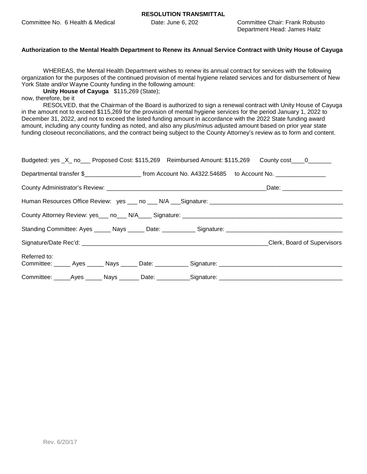Department Head: James Haitz

#### **Authorization to the Mental Health Department to Renew its Annual Service Contract with Unity House of Cayuga**

WHEREAS, the Mental Health Department wishes to renew its annual contract for services with the following organization for the purposes of the continued provision of mental hygiene related services and for disbursement of New York State and/or Wayne County funding in the following amount:

**Unity House of Cayuga** \$115,269 (State);

now, therefore, be it

RESOLVED, that the Chairman of the Board is authorized to sign a renewal contract with Unity House of Cayuga in the amount not to exceed \$115,269 for the provision of mental hygiene services for the period January 1, 2022 to December 31, 2022, and not to exceed the listed funding amount in accordance with the 2022 State funding award amount, including any county funding as noted, and also any plus/minus adjusted amount based on prior year state funding closeout reconciliations, and the contract being subject to the County Attorney's review as to form and content.

| Budgeted: yes _X_ no___ Proposed Cost: \$115,269 Reimbursed Amount: \$115,269 County cost____0______                 |  |  |                             |
|----------------------------------------------------------------------------------------------------------------------|--|--|-----------------------------|
| Departmental transfer \$________________________ from Account No. A4322.54685 to Account No. _________________       |  |  |                             |
|                                                                                                                      |  |  |                             |
|                                                                                                                      |  |  |                             |
| County Attorney Review: yes___ no___ N/A____ Signature: _________________________                                    |  |  |                             |
|                                                                                                                      |  |  |                             |
|                                                                                                                      |  |  | Clerk, Board of Supervisors |
| Referred to:<br>Committee: ______ Ayes ______ Nays ______ Date: ___________ Signature: _____________________________ |  |  |                             |
| Committee: _____Ayes ______ Nays _______ Date: ___________Signature: _______________________________                 |  |  |                             |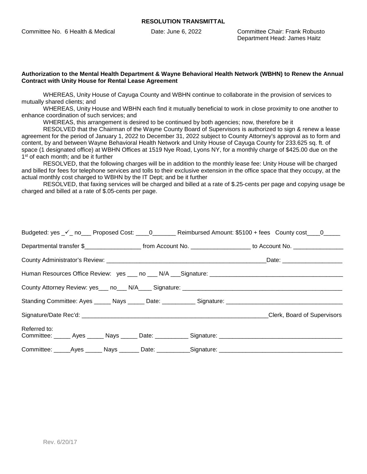Committee No. 6 Health & Medical Date: June 6, 2022 Committee Chair: Frank Robusto

Department Head: James Haitz

#### **Authorization to the Mental Health Department & Wayne Behavioral Health Network (WBHN) to Renew the Annual Contract with Unity House for Rental Lease Agreement**

WHEREAS, Unity House of Cayuga County and WBHN continue to collaborate in the provision of services to mutually shared clients; and

WHEREAS, Unity House and WBHN each find it mutually beneficial to work in close proximity to one another to enhance coordination of such services; and

WHEREAS, this arrangement is desired to be continued by both agencies; now, therefore be it

RESOLVED that the Chairman of the Wayne County Board of Supervisors is authorized to sign & renew a lease agreement for the period of January 1, 2022 to December 31, 2022 subject to County Attorney's approval as to form and content, by and between Wayne Behavioral Health Network and Unity House of Cayuga County for 233.625 sq. ft. of space (1 designated office) at WBHN Offices at 1519 Nye Road, Lyons NY, for a monthly charge of \$425.00 due on the 1<sup>st</sup> of each month; and be it further

RESOLVED, that the following charges will be in addition to the monthly lease fee: Unity House will be charged and billed for fees for telephone services and tolls to their exclusive extension in the office space that they occupy, at the actual monthly cost charged to WBHN by the IT Dept; and be it further

RESOLVED, that faxing services will be charged and billed at a rate of \$.25-cents per page and copying usage be charged and billed at a rate of \$.05-cents per page.

|                                                                                                               |  | Budgeted: yes _v'_ no___ Proposed Cost: ____0_______ Reimbursed Amount: \$5100 + fees County cost ____0_____                             |
|---------------------------------------------------------------------------------------------------------------|--|------------------------------------------------------------------------------------------------------------------------------------------|
|                                                                                                               |  | Departmental transfer \$________________________________from Account No. ____________________________ to Account No. ___________________ |
|                                                                                                               |  |                                                                                                                                          |
|                                                                                                               |  |                                                                                                                                          |
| County Attorney Review: yes___ no___ N/A____ Signature: _________________________                             |  |                                                                                                                                          |
| Standing Committee: Ayes ______ Nays ______ Date: ____________ Signature: ___________________________________ |  |                                                                                                                                          |
|                                                                                                               |  | Clerk, Board of Supervisors                                                                                                              |
| Referred to:<br>Committee: Ayes Nays Date: Signature: Committee: Ayes Ayes Nays Date:                         |  |                                                                                                                                          |
| Committee: _____Ayes ______ Nays _______ Date: ___________Signature: _______________________________          |  |                                                                                                                                          |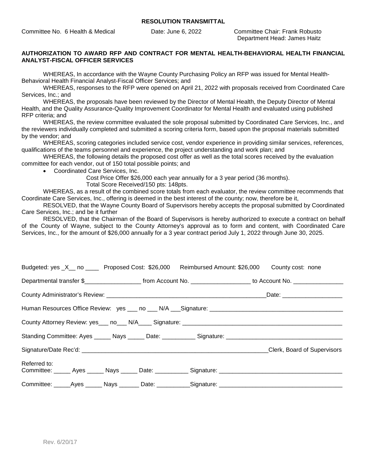Department Head: James Haitz

#### **AUTHORIZATION TO AWARD RFP AND CONTRACT FOR MENTAL HEALTH-BEHAVIORAL HEALTH FINANCIAL ANALYST-FISCAL OFFICER SERVICES**

WHEREAS, In accordance with the Wayne County Purchasing Policy an RFP was issued for Mental Health-Behavioral Health Financial Analyst-Fiscal Officer Services; and

WHEREAS, responses to the RFP were opened on April 21, 2022 with proposals received from Coordinated Care Services, Inc.; and

WHEREAS, the proposals have been reviewed by the Director of Mental Health, the Deputy Director of Mental Health, and the Quality Assurance-Quality Improvement Coordinator for Mental Health and evaluated using published RFP criteria; and

WHEREAS, the review committee evaluated the sole proposal submitted by Coordinated Care Services, Inc., and the reviewers individually completed and submitted a scoring criteria form, based upon the proposal materials submitted by the vendor; and

WHEREAS, scoring categories included service cost, vendor experience in providing similar services, references, qualifications of the teams personnel and experience, the project understanding and work plan; and

WHEREAS, the following details the proposed cost offer as well as the total scores received by the evaluation committee for each vendor, out of 150 total possible points; and

Coordinated Care Services, Inc.

Cost Price Offer \$26,000 each year annually for a 3 year period (36 months). Total Score Received/150 pts: 148pts.

WHEREAS, as a result of the combined score totals from each evaluator, the review committee recommends that Coordinate Care Services, Inc., offering is deemed in the best interest of the county; now, therefore be it,

RESOLVED, that the Wayne County Board of Supervisors hereby accepts the proposal submitted by Coordinated Care Services, Inc.; and be it further

RESOLVED, that the Chairman of the Board of Supervisors is hereby authorized to execute a contract on behalf of the County of Wayne, subject to the County Attorney's approval as to form and content, with Coordinated Care Services, Inc., for the amount of \$26,000 annually for a 3 year contract period July 1, 2022 through June 30, 2025.

| Budgeted: yes _X__ no _____ Proposed Cost: \$26,000 Reimbursed Amount: \$26,000 County cost: none                    |  |  |                             |
|----------------------------------------------------------------------------------------------------------------------|--|--|-----------------------------|
|                                                                                                                      |  |  |                             |
|                                                                                                                      |  |  |                             |
|                                                                                                                      |  |  |                             |
|                                                                                                                      |  |  |                             |
|                                                                                                                      |  |  |                             |
|                                                                                                                      |  |  | Clerk, Board of Supervisors |
| Referred to:<br>Committee: ______ Ayes ______ Nays ______ Date: ___________ Signature: _____________________________ |  |  |                             |
| Committee: ______Ayes ______ Nays ________Date: ___________Signature: ______________________________                 |  |  |                             |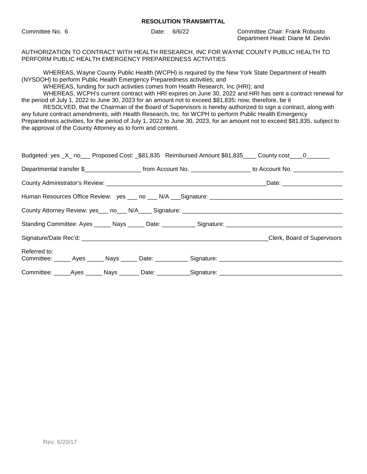#### **RESOLUTION TRANSMITTAL**

Committee No. 6 Date: 6/6/22 Committee Chair: Frank Robusto Department Head: Diane M. Devlin

AUTHORIZATION TO CONTRACT WITH HEALTH RESEARCH, INC FOR WAYNE COUNTY PUBLIC HEALTH TO PERFORM PUBLIC HEALTH EMERGENCY PREPAREDNESS ACTIVITIES

WHEREAS, Wayne County Public Health (WCPH) is required by the New York State Department of Health (NYSDOH) to perform Public Health Emergency Preparedness activities; and

WHEREAS, funding for such activities comes from Health Research, Inc (HRI); and

WHEREAS, WCPH's current contract with HRI expires on June 30, 2022 and HRI has sent a contract renewal for the period of July 1, 2022 to June 30, 2023 for an amount not to exceed \$81,835; now, therefore, be it

RESOLVED, that the Chairman of the Board of Supervisors is hereby authorized to sign a contract, along with any future contract amendments, with Health Research, Inc. for WCPH to perform Public Health Emergency Preparedness activities, for the period of July 1, 2022 to June 30, 2023, for an amount not to exceed \$81,835, subject to the approval of the County Attorney as to form and content.

|              |  | Budgeted: yes _X_ no___ Proposed Cost: _\$81,835 Reimbursed Amount \$81,835 ___ County cost ___ 0______ |                             |
|--------------|--|---------------------------------------------------------------------------------------------------------|-----------------------------|
|              |  |                                                                                                         |                             |
|              |  |                                                                                                         |                             |
|              |  |                                                                                                         |                             |
|              |  |                                                                                                         |                             |
|              |  |                                                                                                         |                             |
|              |  |                                                                                                         | Clerk, Board of Supervisors |
| Referred to: |  |                                                                                                         |                             |
|              |  | Committee: _____Ayes ______ Nays _______ Date: ___________Signature: ______________________________     |                             |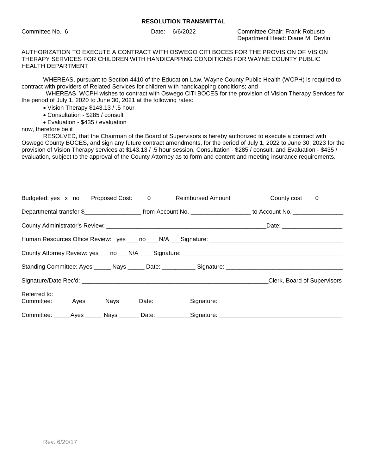Committee No. 6 Date: 6/6/2022 Committee Chair: Frank Robusto Department Head: Diane M. Devlin

AUTHORIZATION TO EXECUTE A CONTRACT WITH OSWEGO CITI BOCES FOR THE PROVISION OF VISION THERAPY SERVICES FOR CHILDREN WITH HANDICAPPING CONDITIONS FOR WAYNE COUNTY PUBLIC HEALTH DEPARTMENT

WHEREAS, pursuant to Section 4410 of the Education Law, Wayne County Public Health (WCPH) is required to contract with providers of Related Services for children with handicapping conditions; and

WHEREAS, WCPH wishes to contract with Oswego CiTi BOCES for the provision of Vision Therapy Services for the period of July 1, 2020 to June 30, 2021 at the following rates:

Vision Therapy \$143.13 / .5 hour

- Consultation \$285 / consult
- Evaluation \$435 / evaluation

now, therefore be it

RESOLVED, that the Chairman of the Board of Supervisors is hereby authorized to execute a contract with Oswego County BOCES, and sign any future contract amendments, for the period of July 1, 2022 to June 30, 2023 for the provision of Vision Therapy services at \$143.13 / .5 hour session, Consultation - \$285 / consult, and Evaluation - \$435 / evaluation, subject to the approval of the County Attorney as to form and content and meeting insurance requirements.

|              |  | Budgeted: yes _x_ no___ Proposed Cost: ____0_______ Reimbursed Amount ___________ County cost ____0_______            |                             |  |
|--------------|--|-----------------------------------------------------------------------------------------------------------------------|-----------------------------|--|
|              |  | Departmental transfer \$________________________ from Account No. ____________________ to Account No. _______________ |                             |  |
|              |  |                                                                                                                       |                             |  |
|              |  |                                                                                                                       |                             |  |
|              |  |                                                                                                                       |                             |  |
|              |  |                                                                                                                       |                             |  |
|              |  |                                                                                                                       | Clerk, Board of Supervisors |  |
| Referred to: |  |                                                                                                                       |                             |  |
|              |  | Committee: _____Ayes ______ Nays _______ Date: ___________Signature: ______________________________                   |                             |  |